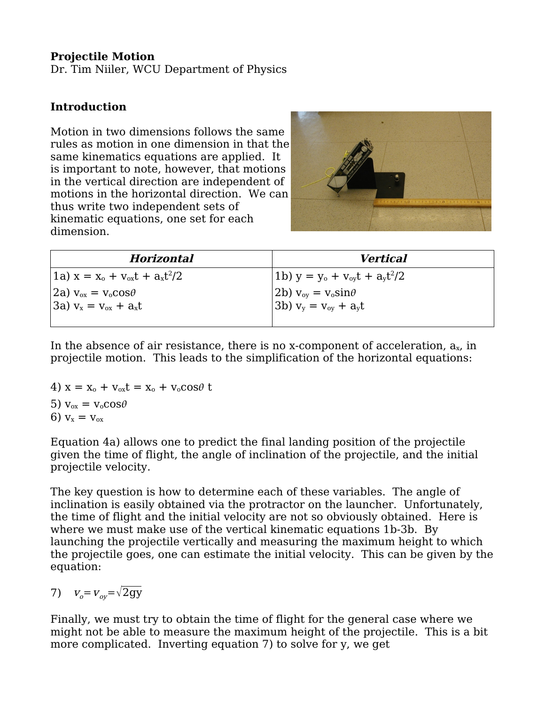### **Projectile Motion**

Dr. Tim Niiler, WCU Department of Physics

## **Introduction**

Motion in two dimensions follows the same rules as motion in one dimension in that the same kinematics equations are applied. It is important to note, however, that motions in the vertical direction are independent of motions in the horizontal direction. We can thus write two independent sets of kinematic equations, one set for each dimension.



| <b>Horizontal</b>                    | <i>Vertical</i>                                                |
|--------------------------------------|----------------------------------------------------------------|
| $(1a) x = x_0 + v_{ox}t + a_x t^2/2$ | $(1b)$ y = y <sub>o</sub> + v <sub>oy</sub> t + $a_{y}t^{2}/2$ |
| $(2a) v_{ox} = v_o cos\theta$        | $(2b) v_{ov} = v_o \sin \theta$                                |
| $3a) v_x = v_{0x} + a_x t$           | $3b) v_y = v_{0y} + a_y t$                                     |
|                                      |                                                                |

In the absence of air resistance, there is no x-component of acceleration,  $a_x$ , in projectile motion. This leads to the simplification of the horizontal equations:

4)  $x = x_0 + v_{0x}t = x_0 + v_0 \cos \theta t$ 5)  $v_{ox} = v_o \cos \theta$ 6)  $v_x = v_{ox}$ 

Equation 4a) allows one to predict the final landing position of the projectile given the time of flight, the angle of inclination of the projectile, and the initial projectile velocity.

The key question is how to determine each of these variables. The angle of inclination is easily obtained via the protractor on the launcher. Unfortunately, the time of flight and the initial velocity are not so obviously obtained. Here is where we must make use of the vertical kinematic equations 1b-3b. By launching the projectile vertically and measuring the maximum height to which the projectile goes, one can estimate the initial velocity. This can be given by the equation:

7)  $v_{o} = v_{ov} = \sqrt{2gy}$ 

Finally, we must try to obtain the time of flight for the general case where we might not be able to measure the maximum height of the projectile. This is a bit more complicated. Inverting equation 7) to solve for y, we get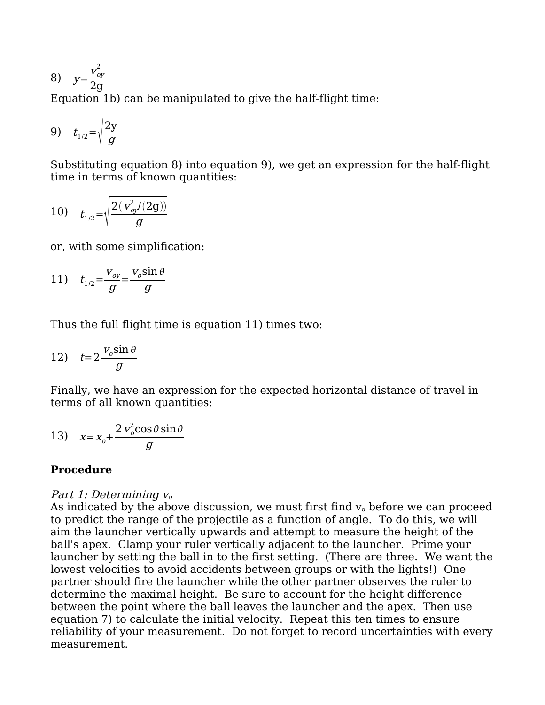$$
8) \quad y = \frac{v_{oy}^2}{2g}
$$

Equation 1b) can be manipulated to give the half-flight time:

$$
9) \quad t_{1/2} = \sqrt{\frac{2y}{g}}
$$

Substituting equation 8) into equation 9), we get an expression for the half-flight time in terms of known quantities:

10) 
$$
t_{1/2} = \sqrt{\frac{2(v_{oy}^2/(2g))}{g}}
$$

or, with some simplification:

11) 
$$
t_{1/2} = \frac{v_{oy}}{g} = \frac{v_o \sin \theta}{g}
$$

Thus the full flight time is equation 11) times two:

12) 
$$
t=2\frac{v_o\sin\theta}{g}
$$

Finally, we have an expression for the expected horizontal distance of travel in terms of all known quantities:

13) 
$$
x = x_o + \frac{2 v_o^2 \cos \theta \sin \theta}{g}
$$

#### **Procedure**

#### Part 1: Determining  $v_0$

As indicated by the above discussion, we must first find  $v_0$  before we can proceed to predict the range of the projectile as a function of angle. To do this, we will aim the launcher vertically upwards and attempt to measure the height of the ball's apex. Clamp your ruler vertically adjacent to the launcher. Prime your launcher by setting the ball in to the first setting. (There are three. We want the lowest velocities to avoid accidents between groups or with the lights!) One partner should fire the launcher while the other partner observes the ruler to determine the maximal height. Be sure to account for the height difference between the point where the ball leaves the launcher and the apex. Then use equation 7) to calculate the initial velocity. Repeat this ten times to ensure reliability of your measurement. Do not forget to record uncertainties with every measurement.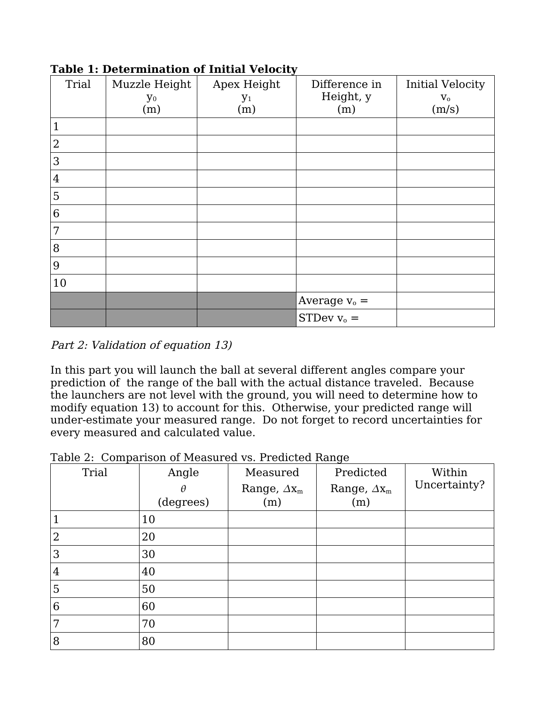| Trial          | Muzzle Height<br>$y_0$<br>(m) | Apex Height<br>$y_1$<br>(m) | Difference in<br>Height, y<br>(m) | <b>Initial Velocity</b><br>$\mathbf{V_{0}}$<br>(m/s) |
|----------------|-------------------------------|-----------------------------|-----------------------------------|------------------------------------------------------|
| 1              |                               |                             |                                   |                                                      |
| $\overline{2}$ |                               |                             |                                   |                                                      |
| 3              |                               |                             |                                   |                                                      |
| $\overline{4}$ |                               |                             |                                   |                                                      |
| 5              |                               |                             |                                   |                                                      |
| 6              |                               |                             |                                   |                                                      |
| 7              |                               |                             |                                   |                                                      |
| 8              |                               |                             |                                   |                                                      |
| 9              |                               |                             |                                   |                                                      |
| 10             |                               |                             |                                   |                                                      |
|                |                               |                             | Average $v_0$ =                   |                                                      |
|                |                               |                             | STDev $v_0$ =                     |                                                      |

**Table 1: Determination of Initial Velocity**

Part 2: Validation of equation 13)

In this part you will launch the ball at several different angles compare your prediction of the range of the ball with the actual distance traveled. Because the launchers are not level with the ground, you will need to determine how to modify equation 13) to account for this. Otherwise, your predicted range will under-estimate your measured range. Do not forget to record uncertainties for every measured and calculated value.

Table 2: Comparison of Measured vs. Predicted Range

| Trial | rabio 2. Comparison or ricabarca vol. ricalcioa riango<br>Angle | Measured            | Predicted           | Within       |
|-------|-----------------------------------------------------------------|---------------------|---------------------|--------------|
|       | θ                                                               | Range, $\Delta x_m$ | Range, $\Delta x_m$ | Uncertainty? |
|       | (degrees)                                                       | (m)                 | (m)                 |              |
|       | 10                                                              |                     |                     |              |
| 2     | 20                                                              |                     |                     |              |
| 3     | 30                                                              |                     |                     |              |
| 4     | 40                                                              |                     |                     |              |
| 5     | 50                                                              |                     |                     |              |
| 6     | 60                                                              |                     |                     |              |
| 7     | 70                                                              |                     |                     |              |
| 8     | 80                                                              |                     |                     |              |